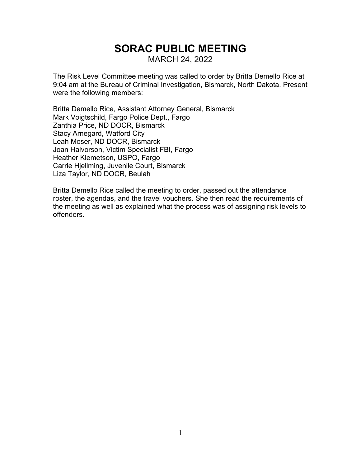# **SORAC PUBLIC MEETING** MARCH 24, 2022

The Risk Level Committee meeting was called to order by Britta Demello Rice at 9:04 am at the Bureau of Criminal Investigation, Bismarck, North Dakota. Present were the following members:

Britta Demello Rice, Assistant Attorney General, Bismarck Mark Voigtschild, Fargo Police Dept., Fargo Zanthia Price, ND DOCR, Bismarck Stacy Arnegard, Watford City Leah Moser, ND DOCR, Bismarck Joan Halvorson, Victim Specialist FBI, Fargo Heather Klemetson, USPO, Fargo Carrie Hjellming, Juvenile Court, Bismarck Liza Taylor, ND DOCR, Beulah

Britta Demello Rice called the meeting to order, passed out the attendance roster, the agendas, and the travel vouchers. She then read the requirements of the meeting as well as explained what the process was of assigning risk levels to offenders.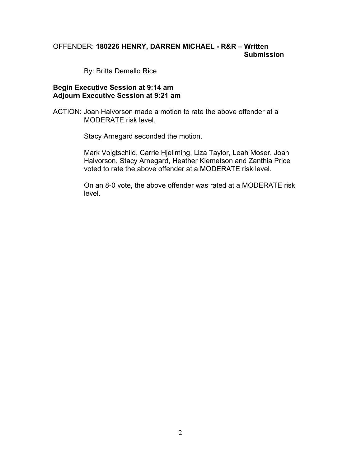## OFFENDER: **180226 HENRY, DARREN MICHAEL - R&R – Written Submission**

By: Britta Demello Rice

#### **Begin Executive Session at 9:14 am Adjourn Executive Session at 9:21 am**

ACTION: Joan Halvorson made a motion to rate the above offender at a MODERATE risk level.

Stacy Arnegard seconded the motion.

Mark Voigtschild, Carrie Hjellming, Liza Taylor, Leah Moser, Joan Halvorson, Stacy Arnegard, Heather Klemetson and Zanthia Price voted to rate the above offender at a MODERATE risk level.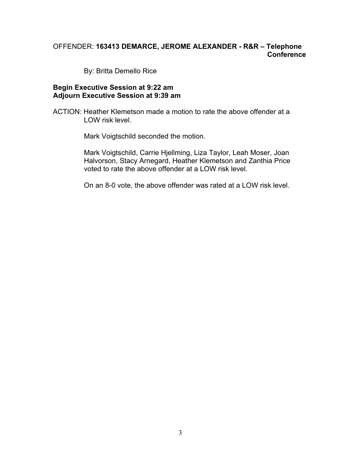# OFFENDER: **163413 DEMARCE, JEROME ALEXANDER - R&R – Telephone Conference**

By: Britta Demello Rice

#### **Begin Executive Session at 9:22 am Adjourn Executive Session at 9:39 am**

ACTION: Heather Klemetson made a motion to rate the above offender at a LOW risk level.

Mark Voigtschild seconded the motion.

Mark Voigtschild, Carrie Hjellming, Liza Taylor, Leah Moser, Joan Halvorson, Stacy Arnegard, Heather Klemetson and Zanthia Price voted to rate the above offender at a LOW risk level.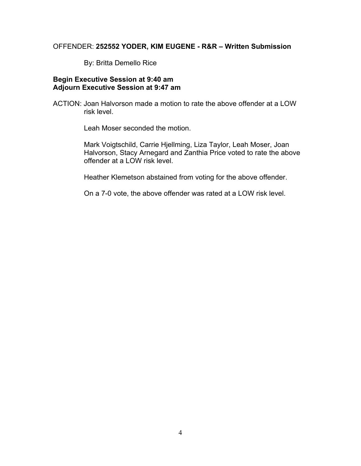#### OFFENDER: **252552 YODER, KIM EUGENE - R&R – Written Submission**

By: Britta Demello Rice

## **Begin Executive Session at 9:40 am Adjourn Executive Session at 9:47 am**

ACTION: Joan Halvorson made a motion to rate the above offender at a LOW risk level.

Leah Moser seconded the motion.

Mark Voigtschild, Carrie Hjellming, Liza Taylor, Leah Moser, Joan Halvorson, Stacy Arnegard and Zanthia Price voted to rate the above offender at a LOW risk level.

Heather Klemetson abstained from voting for the above offender.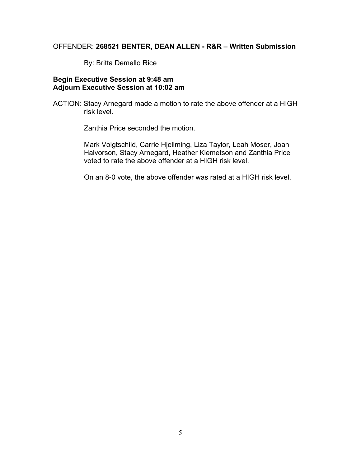#### OFFENDER: **268521 BENTER, DEAN ALLEN - R&R – Written Submission**

By: Britta Demello Rice

## **Begin Executive Session at 9:48 am Adjourn Executive Session at 10:02 am**

ACTION: Stacy Arnegard made a motion to rate the above offender at a HIGH risk level.

Zanthia Price seconded the motion.

Mark Voigtschild, Carrie Hjellming, Liza Taylor, Leah Moser, Joan Halvorson, Stacy Arnegard, Heather Klemetson and Zanthia Price voted to rate the above offender at a HIGH risk level.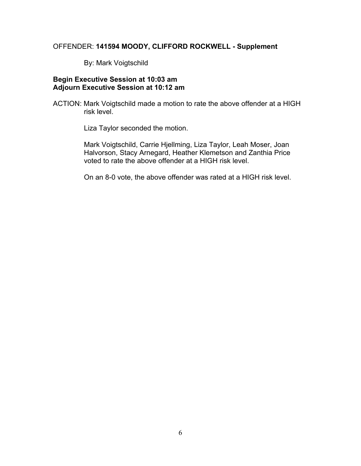#### OFFENDER: **141594 MOODY, CLIFFORD ROCKWELL - Supplement**

By: Mark Voigtschild

## **Begin Executive Session at 10:03 am Adjourn Executive Session at 10:12 am**

ACTION: Mark Voigtschild made a motion to rate the above offender at a HIGH risk level.

Liza Taylor seconded the motion.

Mark Voigtschild, Carrie Hjellming, Liza Taylor, Leah Moser, Joan Halvorson, Stacy Arnegard, Heather Klemetson and Zanthia Price voted to rate the above offender at a HIGH risk level.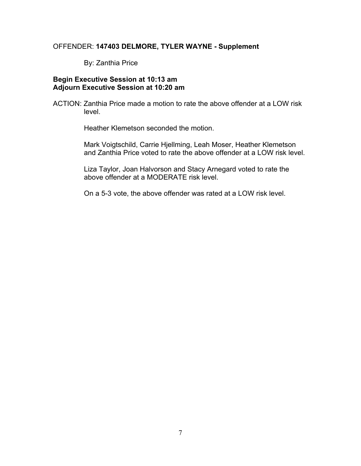## OFFENDER: **147403 DELMORE, TYLER WAYNE - Supplement**

By: Zanthia Price

## **Begin Executive Session at 10:13 am Adjourn Executive Session at 10:20 am**

ACTION: Zanthia Price made a motion to rate the above offender at a LOW risk level.

Heather Klemetson seconded the motion.

Mark Voigtschild, Carrie Hjellming, Leah Moser, Heather Klemetson and Zanthia Price voted to rate the above offender at a LOW risk level.

Liza Taylor, Joan Halvorson and Stacy Arnegard voted to rate the above offender at a MODERATE risk level.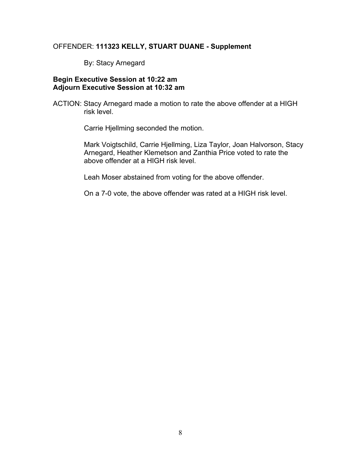#### OFFENDER: **111323 KELLY, STUART DUANE - Supplement**

By: Stacy Arnegard

## **Begin Executive Session at 10:22 am Adjourn Executive Session at 10:32 am**

ACTION: Stacy Arnegard made a motion to rate the above offender at a HIGH risk level.

Carrie Hjellming seconded the motion.

Mark Voigtschild, Carrie Hjellming, Liza Taylor, Joan Halvorson, Stacy Arnegard, Heather Klemetson and Zanthia Price voted to rate the above offender at a HIGH risk level.

Leah Moser abstained from voting for the above offender.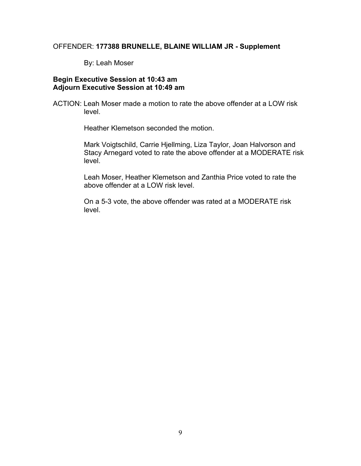#### OFFENDER: **177388 BRUNELLE, BLAINE WILLIAM JR - Supplement**

By: Leah Moser

## **Begin Executive Session at 10:43 am Adjourn Executive Session at 10:49 am**

ACTION: Leah Moser made a motion to rate the above offender at a LOW risk level.

Heather Klemetson seconded the motion.

Mark Voigtschild, Carrie Hjellming, Liza Taylor, Joan Halvorson and Stacy Arnegard voted to rate the above offender at a MODERATE risk level.

Leah Moser, Heather Klemetson and Zanthia Price voted to rate the above offender at a LOW risk level.

On a 5-3 vote, the above offender was rated at a MODERATE risk level.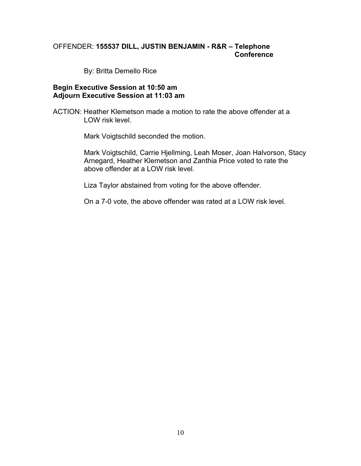## OFFENDER: **155537 DILL, JUSTIN BENJAMIN - R&R – Telephone Conference**

By: Britta Demello Rice

#### **Begin Executive Session at 10:50 am Adjourn Executive Session at 11:03 am**

ACTION: Heather Klemetson made a motion to rate the above offender at a LOW risk level.

Mark Voigtschild seconded the motion.

Mark Voigtschild, Carrie Hjellming, Leah Moser, Joan Halvorson, Stacy Arnegard, Heather Klemetson and Zanthia Price voted to rate the above offender at a LOW risk level.

Liza Taylor abstained from voting for the above offender.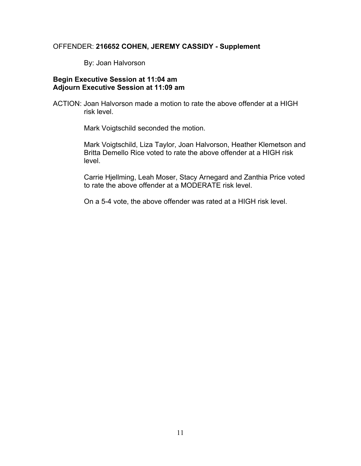#### OFFENDER: **216652 COHEN, JEREMY CASSIDY - Supplement**

By: Joan Halvorson

## **Begin Executive Session at 11:04 am Adjourn Executive Session at 11:09 am**

ACTION: Joan Halvorson made a motion to rate the above offender at a HIGH risk level.

Mark Voigtschild seconded the motion.

Mark Voigtschild, Liza Taylor, Joan Halvorson, Heather Klemetson and Britta Demello Rice voted to rate the above offender at a HIGH risk level.

Carrie Hjellming, Leah Moser, Stacy Arnegard and Zanthia Price voted to rate the above offender at a MODERATE risk level.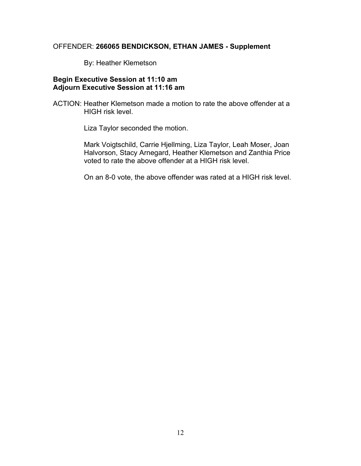#### OFFENDER: **266065 BENDICKSON, ETHAN JAMES - Supplement**

By: Heather Klemetson

## **Begin Executive Session at 11:10 am Adjourn Executive Session at 11:16 am**

ACTION: Heather Klemetson made a motion to rate the above offender at a HIGH risk level.

Liza Taylor seconded the motion.

Mark Voigtschild, Carrie Hjellming, Liza Taylor, Leah Moser, Joan Halvorson, Stacy Arnegard, Heather Klemetson and Zanthia Price voted to rate the above offender at a HIGH risk level.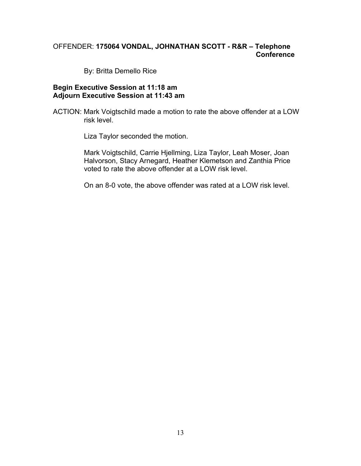# OFFENDER: **175064 VONDAL, JOHNATHAN SCOTT - R&R – Telephone Conference**

By: Britta Demello Rice

#### **Begin Executive Session at 11:18 am Adjourn Executive Session at 11:43 am**

ACTION: Mark Voigtschild made a motion to rate the above offender at a LOW risk level.

Liza Taylor seconded the motion.

Mark Voigtschild, Carrie Hjellming, Liza Taylor, Leah Moser, Joan Halvorson, Stacy Arnegard, Heather Klemetson and Zanthia Price voted to rate the above offender at a LOW risk level.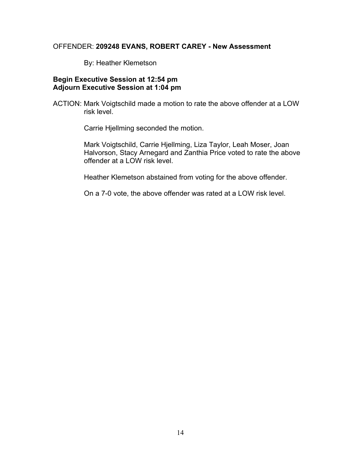#### OFFENDER: **209248 EVANS, ROBERT CAREY - New Assessment**

By: Heather Klemetson

## **Begin Executive Session at 12:54 pm Adjourn Executive Session at 1:04 pm**

ACTION: Mark Voigtschild made a motion to rate the above offender at a LOW risk level.

Carrie Hjellming seconded the motion.

Mark Voigtschild, Carrie Hjellming, Liza Taylor, Leah Moser, Joan Halvorson, Stacy Arnegard and Zanthia Price voted to rate the above offender at a LOW risk level.

Heather Klemetson abstained from voting for the above offender.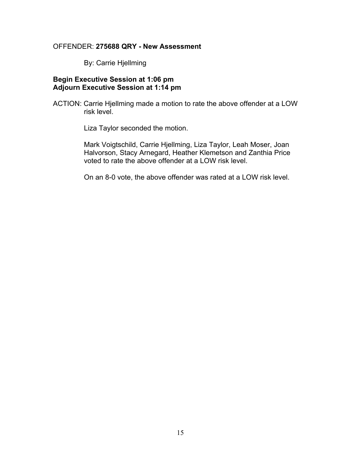#### OFFENDER: **275688 QRY - New Assessment**

By: Carrie Hjellming

## **Begin Executive Session at 1:06 pm Adjourn Executive Session at 1:14 pm**

ACTION: Carrie Hjellming made a motion to rate the above offender at a LOW risk level.

Liza Taylor seconded the motion.

Mark Voigtschild, Carrie Hjellming, Liza Taylor, Leah Moser, Joan Halvorson, Stacy Arnegard, Heather Klemetson and Zanthia Price voted to rate the above offender at a LOW risk level.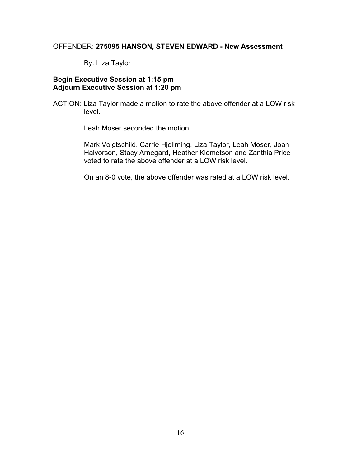#### OFFENDER: **275095 HANSON, STEVEN EDWARD - New Assessment**

By: Liza Taylor

## **Begin Executive Session at 1:15 pm Adjourn Executive Session at 1:20 pm**

ACTION: Liza Taylor made a motion to rate the above offender at a LOW risk level.

Leah Moser seconded the motion.

Mark Voigtschild, Carrie Hjellming, Liza Taylor, Leah Moser, Joan Halvorson, Stacy Arnegard, Heather Klemetson and Zanthia Price voted to rate the above offender at a LOW risk level.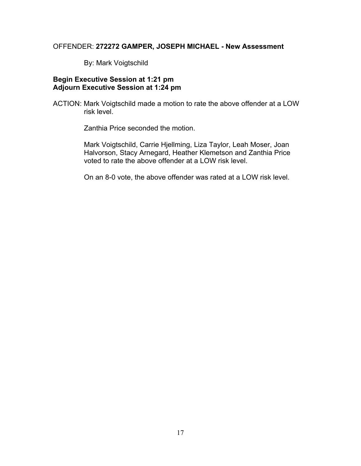#### OFFENDER: **272272 GAMPER, JOSEPH MICHAEL - New Assessment**

By: Mark Voigtschild

## **Begin Executive Session at 1:21 pm Adjourn Executive Session at 1:24 pm**

ACTION: Mark Voigtschild made a motion to rate the above offender at a LOW risk level.

Zanthia Price seconded the motion.

Mark Voigtschild, Carrie Hjellming, Liza Taylor, Leah Moser, Joan Halvorson, Stacy Arnegard, Heather Klemetson and Zanthia Price voted to rate the above offender at a LOW risk level.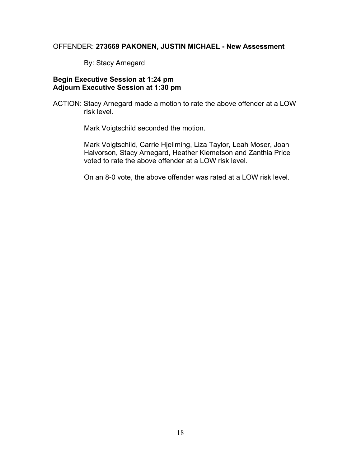#### OFFENDER: **273669 PAKONEN, JUSTIN MICHAEL - New Assessment**

By: Stacy Arnegard

## **Begin Executive Session at 1:24 pm Adjourn Executive Session at 1:30 pm**

ACTION: Stacy Arnegard made a motion to rate the above offender at a LOW risk level.

Mark Voigtschild seconded the motion.

Mark Voigtschild, Carrie Hjellming, Liza Taylor, Leah Moser, Joan Halvorson, Stacy Arnegard, Heather Klemetson and Zanthia Price voted to rate the above offender at a LOW risk level.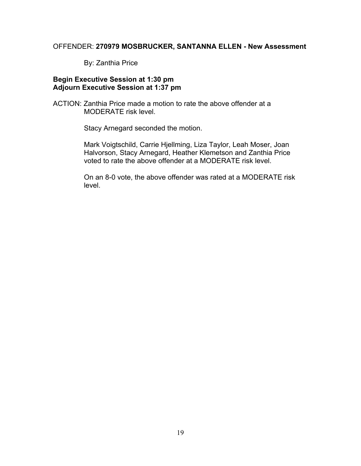## OFFENDER: **270979 MOSBRUCKER, SANTANNA ELLEN - New Assessment**

By: Zanthia Price

## **Begin Executive Session at 1:30 pm Adjourn Executive Session at 1:37 pm**

ACTION: Zanthia Price made a motion to rate the above offender at a MODERATE risk level.

Stacy Arnegard seconded the motion.

Mark Voigtschild, Carrie Hjellming, Liza Taylor, Leah Moser, Joan Halvorson, Stacy Arnegard, Heather Klemetson and Zanthia Price voted to rate the above offender at a MODERATE risk level.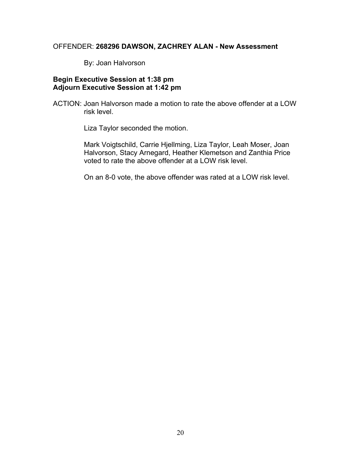#### OFFENDER: **268296 DAWSON, ZACHREY ALAN - New Assessment**

By: Joan Halvorson

## **Begin Executive Session at 1:38 pm Adjourn Executive Session at 1:42 pm**

ACTION: Joan Halvorson made a motion to rate the above offender at a LOW risk level.

Liza Taylor seconded the motion.

Mark Voigtschild, Carrie Hjellming, Liza Taylor, Leah Moser, Joan Halvorson, Stacy Arnegard, Heather Klemetson and Zanthia Price voted to rate the above offender at a LOW risk level.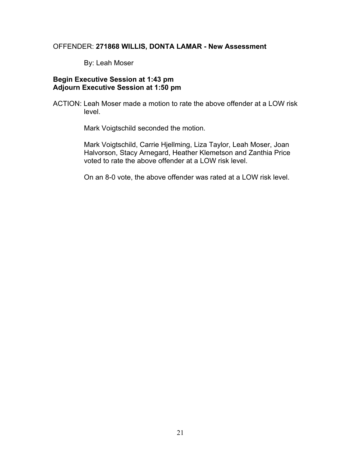#### OFFENDER: **271868 WILLIS, DONTA LAMAR - New Assessment**

By: Leah Moser

## **Begin Executive Session at 1:43 pm Adjourn Executive Session at 1:50 pm**

ACTION: Leah Moser made a motion to rate the above offender at a LOW risk level.

Mark Voigtschild seconded the motion.

Mark Voigtschild, Carrie Hjellming, Liza Taylor, Leah Moser, Joan Halvorson, Stacy Arnegard, Heather Klemetson and Zanthia Price voted to rate the above offender at a LOW risk level.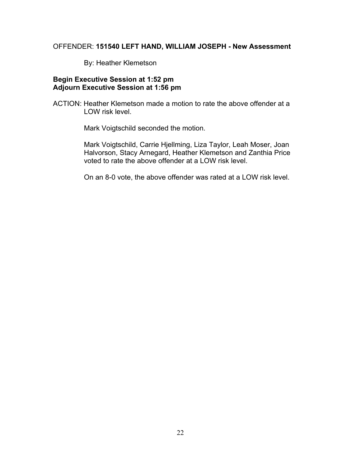#### OFFENDER: **151540 LEFT HAND, WILLIAM JOSEPH - New Assessment**

By: Heather Klemetson

## **Begin Executive Session at 1:52 pm Adjourn Executive Session at 1:56 pm**

ACTION: Heather Klemetson made a motion to rate the above offender at a LOW risk level.

Mark Voigtschild seconded the motion.

Mark Voigtschild, Carrie Hjellming, Liza Taylor, Leah Moser, Joan Halvorson, Stacy Arnegard, Heather Klemetson and Zanthia Price voted to rate the above offender at a LOW risk level.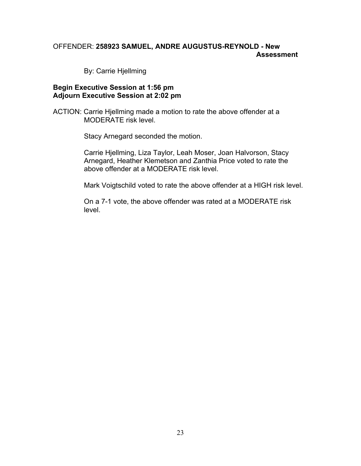# OFFENDER: **258923 SAMUEL, ANDRE AUGUSTUS-REYNOLD - New Assessment**

By: Carrie Hjellming

#### **Begin Executive Session at 1:56 pm Adjourn Executive Session at 2:02 pm**

ACTION: Carrie Hjellming made a motion to rate the above offender at a MODERATE risk level.

Stacy Arnegard seconded the motion.

Carrie Hjellming, Liza Taylor, Leah Moser, Joan Halvorson, Stacy Arnegard, Heather Klemetson and Zanthia Price voted to rate the above offender at a MODERATE risk level.

Mark Voigtschild voted to rate the above offender at a HIGH risk level.

On a 7-1 vote, the above offender was rated at a MODERATE risk level.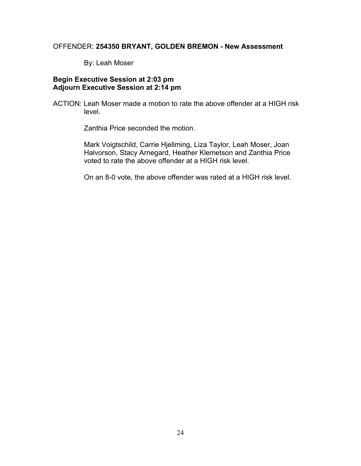## OFFENDER: **254350 BRYANT, GOLDEN BREMON - New Assessment**

By: Leah Moser

## **Begin Executive Session at 2:03 pm Adjourn Executive Session at 2:14 pm**

ACTION: Leah Moser made a motion to rate the above offender at a HIGH risk level.

Zanthia Price seconded the motion.

Mark Voigtschild, Carrie Hjellming, Liza Taylor, Leah Moser, Joan Halvorson, Stacy Arnegard, Heather Klemetson and Zanthia Price voted to rate the above offender at a HIGH risk level.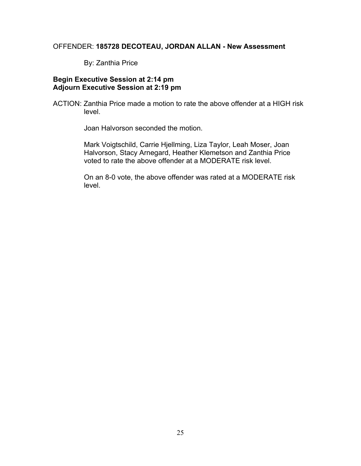## OFFENDER: **185728 DECOTEAU, JORDAN ALLAN - New Assessment**

By: Zanthia Price

## **Begin Executive Session at 2:14 pm Adjourn Executive Session at 2:19 pm**

ACTION: Zanthia Price made a motion to rate the above offender at a HIGH risk level.

Joan Halvorson seconded the motion.

Mark Voigtschild, Carrie Hjellming, Liza Taylor, Leah Moser, Joan Halvorson, Stacy Arnegard, Heather Klemetson and Zanthia Price voted to rate the above offender at a MODERATE risk level.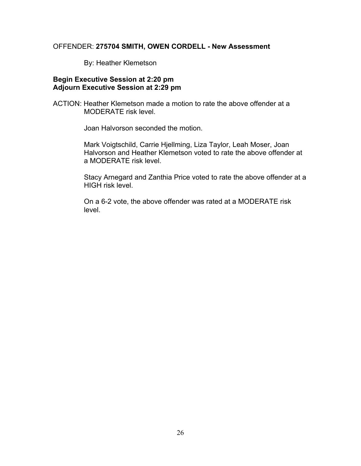#### OFFENDER: **275704 SMITH, OWEN CORDELL - New Assessment**

By: Heather Klemetson

## **Begin Executive Session at 2:20 pm Adjourn Executive Session at 2:29 pm**

ACTION: Heather Klemetson made a motion to rate the above offender at a MODERATE risk level.

Joan Halvorson seconded the motion.

Mark Voigtschild, Carrie Hjellming, Liza Taylor, Leah Moser, Joan Halvorson and Heather Klemetson voted to rate the above offender at a MODERATE risk level.

Stacy Arnegard and Zanthia Price voted to rate the above offender at a HIGH risk level.

On a 6-2 vote, the above offender was rated at a MODERATE risk level.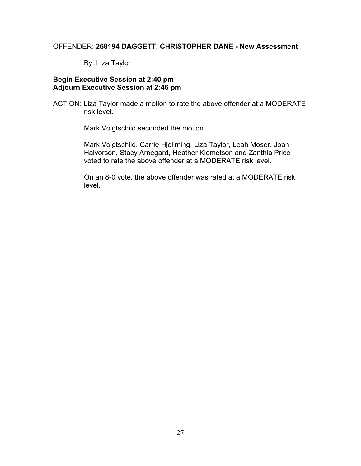#### OFFENDER: **268194 DAGGETT, CHRISTOPHER DANE - New Assessment**

By: Liza Taylor

## **Begin Executive Session at 2:40 pm Adjourn Executive Session at 2:46 pm**

ACTION: Liza Taylor made a motion to rate the above offender at a MODERATE risk level.

Mark Voigtschild seconded the motion.

Mark Voigtschild, Carrie Hjellming, Liza Taylor, Leah Moser, Joan Halvorson, Stacy Arnegard, Heather Klemetson and Zanthia Price voted to rate the above offender at a MODERATE risk level.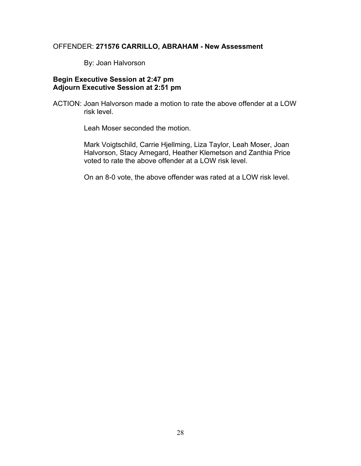#### OFFENDER: **271576 CARRILLO, ABRAHAM - New Assessment**

By: Joan Halvorson

## **Begin Executive Session at 2:47 pm Adjourn Executive Session at 2:51 pm**

ACTION: Joan Halvorson made a motion to rate the above offender at a LOW risk level.

Leah Moser seconded the motion.

Mark Voigtschild, Carrie Hjellming, Liza Taylor, Leah Moser, Joan Halvorson, Stacy Arnegard, Heather Klemetson and Zanthia Price voted to rate the above offender at a LOW risk level.